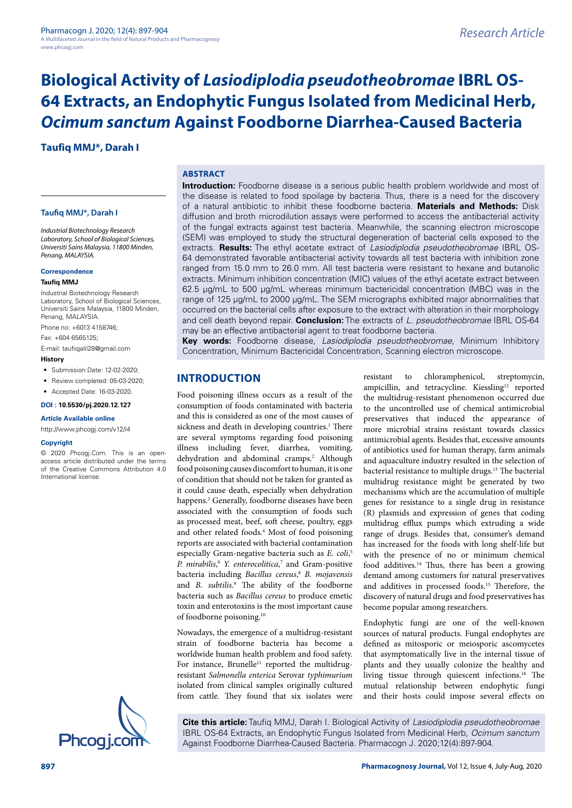**Taufiq MMJ\*, Darah I**

#### **Taufiq MMJ\*, Darah I**

*Industrial Biotechnology Research Laboratory, School of Biological Sciences, Universiti Sains Malaysia, 11800 Minden, Penang, MALAYSIA.*

#### **Correspondence**

#### **Taufiq MMJ**

Industrial Biotechnology Research Laboratory, School of Biological Sciences, Universiti Sains Malaysia, 11800 Minden, Penang, MALAYSIA.

Phone no: +6013 4158746;

Fax: +604 6565125;

E-mail: taufiqjalil28@gmail.com

#### **History**

- Submission Date: 12-02-2020;
- Review completed: 05-03-2020:
- Accepted Date: 16-03-2020.

#### **DOI : 10.5530/pj.2020.12.127**

#### **Article Available online**

<http://www.phcogj.com/v12/i4>

#### **Copyright**

© 2020 Phcogj.Com. This is an openaccess article distributed under the terms of the Creative Commons Attribution 4.0 International license.



#### **ABSTRACT**

**Introduction:** Foodborne disease is a serious public health problem worldwide and most of the disease is related to food spoilage by bacteria. Thus, there is a need for the discovery of a natural antibiotic to inhibit these foodborne bacteria. **Materials and Methods:** Disk diffusion and broth microdilution assays were performed to access the antibacterial activity of the fungal extracts against test bacteria. Meanwhile, the scanning electron microscope (SEM) was employed to study the structural degeneration of bacterial cells exposed to the extracts. **Results:** The ethyl acetate extract of *Lasiodiplodia pseudotheobromae* IBRL OS-64 demonstrated favorable antibacterial activity towards all test bacteria with inhibition zone ranged from 15.0 mm to 26.0 mm. All test bacteria were resistant to hexane and butanolic extracts. Minimum inhibition concentration (MIC) values of the ethyl acetate extract between 62.5 µg/mL to 500 µg/mL whereas minimum bactericidal concentration (MBC) was in the range of 125 µg/mL to 2000 µg/mL. The SEM micrographs exhibited major abnormalities that occurred on the bacterial cells after exposure to the extract with alteration in their morphology and cell death beyond repair. **Conclusion:** The extracts of *L. pseudotheobromae* IBRL OS-64 may be an effective antibacterial agent to treat foodborne bacteria.

**Key words:** Foodborne disease, *Lasiodiplodia pseudotheobromae*, Minimum Inhibitory Concentration, Minimum Bactericidal Concentration, Scanning electron microscope.

# **INTRODUCTION**

Food poisoning illness occurs as a result of the consumption of foods contaminated with bacteria and this is considered as one of the most causes of sickness and death in developing countries.<sup>1</sup> There are several symptoms regarding food poisoning illness including fever, diarrhea, vomiting, dehydration and abdominal cramps.<sup>2</sup> Although food poisoning causes discomfort to human, it is one of condition that should not be taken for granted as it could cause death, especially when dehydration happens.3 Generally, foodborne diseases have been associated with the consumption of foods such as processed meat, beef, soft cheese, poultry, eggs and other related foods.<sup>4</sup> Most of food poisoning reports are associated with bacterial contamination especially Gram-negative bacteria such as *E. coli*, 5 *P. mirabilis*, <sup>6</sup> *Y. enterocolitica*, 7 and Gram-positive bacteria including *Bacillus cereus*, <sup>8</sup> *B. mojavensis* and *B. subtilis*. 9 The ability of the foodborne bacteria such as *Bacillus cereus* to produce emetic toxin and enterotoxins is the most important cause of foodborne poisoning.10

Nowadays, the emergence of a multidrug-resistant strain of foodborne bacteria has become a worldwide human health problem and food safety. For instance, Brunelle<sup>11</sup> reported the multidrugresistant *Salmonella enterica* Serovar *typhimurium* isolated from clinical samples originally cultured from cattle. They found that six isolates were

resistant to chloramphenicol, streptomycin, ampicillin, and tetracycline. Kiessling<sup>12</sup> reported the multidrug-resistant phenomenon occurred due to the uncontrolled use of chemical antimicrobial preservatives that induced the appearance of more microbial strains resistant towards classics antimicrobial agents. Besides that, excessive amounts of antibiotics used for human therapy, farm animals and aquaculture industry resulted in the selection of bacterial resistance to multiple drugs.13 The bacterial multidrug resistance might be generated by two mechanisms which are the accumulation of multiple genes for resistance to a single drug in resistance (R) plasmids and expression of genes that coding multidrug efflux pumps which extruding a wide range of drugs. Besides that, consumer's demand has increased for the foods with long shelf-life but with the presence of no or minimum chemical food additives.<sup>14</sup> Thus, there has been a growing demand among customers for natural preservatives and additives in processed foods.15 Therefore, the discovery of natural drugs and food preservatives has become popular among researchers.

Endophytic fungi are one of the well-known sources of natural products. Fungal endophytes are defined as mitosporic or meiosporic ascomycetes that asymptomatically live in the internal tissue of plants and they usually colonize the healthy and living tissue through quiescent infections.16 The mutual relationship between endophytic fungi and their hosts could impose several effects on

**Cite this article:** Taufiq MMJ, Darah I. Biological Activity of *Lasiodiplodia pseudotheobromae*  IBRL OS-64 Extracts, an Endophytic Fungus Isolated from Medicinal Herb, *Ocimum sanctum*<br>Against Foodborne Diarrhea-Caused Bacteria. Pharmacogn J. 2020;12(4):897-904.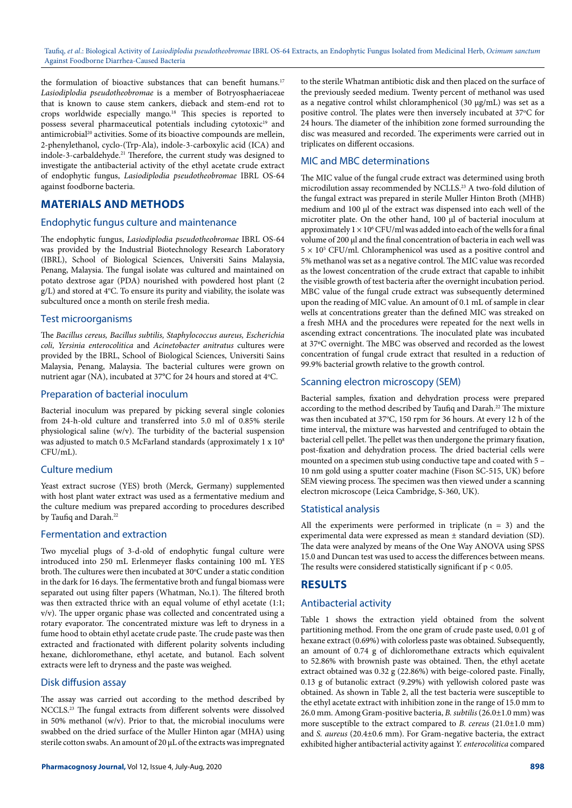the formulation of bioactive substances that can benefit humans.<sup>17</sup> *Lasiodiplodia pseudotheobromae* is a member of Botryosphaeriaceae that is known to cause stem cankers, dieback and stem-end rot to crops worldwide especially mango.18 This species is reported to possess several pharmaceutical potentials including cytotoxic<sup>19</sup> and antimicrobial<sup>20</sup> activities. Some of its bioactive compounds are mellein, 2-phenylethanol, cyclo-(Trp-Ala), indole-3-carboxylic acid (ICA) and indole-3-carbaldehyde.<sup>21</sup> Therefore, the current study was designed to investigate the antibacterial activity of the ethyl acetate crude extract of endophytic fungus, *Lasiodiplodia pseudotheobromae* IBRL OS-64 against foodborne bacteria.

# **MATERIALS AND METHODS**

#### Endophytic fungus culture and maintenance

The endophytic fungus, *Lasiodiplodia pseudotheobromae* IBRL OS-64 was provided by the Industrial Biotechnology Research Laboratory (IBRL), School of Biological Sciences, Universiti Sains Malaysia, Penang, Malaysia. The fungal isolate was cultured and maintained on potato dextrose agar (PDA) nourished with powdered host plant (2 g/L) and stored at 4°C. To ensure its purity and viability, the isolate was subcultured once a month on sterile fresh media.

### Test microorganisms

The *Bacillus cereus, Bacillus subtilis, Staphylococcus aureus, Escherichia coli, Yersinia enterocolitica* and *Acinetobacter anitratus* cultures were provided by the IBRL, School of Biological Sciences, Universiti Sains Malaysia, Penang, Malaysia. The bacterial cultures were grown on nutrient agar (NA), incubated at 37°C for 24 hours and stored at 4°C.

#### Preparation of bacterial inoculum

Bacterial inoculum was prepared by picking several single colonies from 24-h-old culture and transferred into 5.0 ml of 0.85% sterile physiological saline (w/v). The turbidity of the bacterial suspension was adjusted to match 0.5 McFarland standards (approximately 1 x  $10<sup>8</sup>$ CFU/mL).

## Culture medium

Yeast extract sucrose (YES) broth (Merck, Germany) supplemented with host plant water extract was used as a fermentative medium and the culture medium was prepared according to procedures described by Taufiq and Darah.<sup>22</sup>

## Fermentation and extraction

Two mycelial plugs of 3-d-old of endophytic fungal culture were introduced into 250 mL Erlenmeyer flasks containing 100 mL YES broth. The cultures were then incubated at 30°C under a static condition in the dark for 16 days. The fermentative broth and fungal biomass were separated out using filter papers (Whatman, No.1). The filtered broth was then extracted thrice with an equal volume of ethyl acetate (1:1; v/v). The upper organic phase was collected and concentrated using a rotary evaporator. The concentrated mixture was left to dryness in a fume hood to obtain ethyl acetate crude paste. The crude paste was then extracted and fractionated with different polarity solvents including hexane, dichloromethane, ethyl acetate, and butanol. Each solvent extracts were left to dryness and the paste was weighed.

#### Disk diffusion assay

The assay was carried out according to the method described by NCCLS.23 The fungal extracts from different solvents were dissolved in 50% methanol (w/v). Prior to that, the microbial inoculums were swabbed on the dried surface of the Muller Hinton agar (MHA) using sterile cotton swabs. An amount of 20 µL of the extracts was impregnated

to the sterile Whatman antibiotic disk and then placed on the surface of the previously seeded medium. Twenty percent of methanol was used as a negative control whilst chloramphenicol (30 µg/mL) was set as a positive control. The plates were then inversely incubated at 37°C for 24 hours. The diameter of the inhibition zone formed surrounding the disc was measured and recorded. The experiments were carried out in triplicates on different occasions.

## MIC and MBC determinations

The MIC value of the fungal crude extract was determined using broth microdilution assay recommended by NCLLS.23 A two-fold dilution of the fungal extract was prepared in sterile Muller Hinton Broth (MHB) medium and 100 µl of the extract was dispensed into each well of the microtiter plate. On the other hand, 100 µl of bacterial inoculum at approximately  $1 \times 10^6$  CFU/ml was added into each of the wells for a final volume of 200 µl and the final concentration of bacteria in each well was  $5 \times 10^5$  CFU/ml. Chloramphenicol was used as a positive control and 5% methanol was set as a negative control. The MIC value was recorded as the lowest concentration of the crude extract that capable to inhibit the visible growth of test bacteria after the overnight incubation period. MBC value of the fungal crude extract was subsequently determined upon the reading of MIC value. An amount of 0.1 mL of sample in clear wells at concentrations greater than the defined MIC was streaked on a fresh MHA and the procedures were repeated for the next wells in ascending extract concentrations. The inoculated plate was incubated at 37ºC overnight. The MBC was observed and recorded as the lowest concentration of fungal crude extract that resulted in a reduction of 99.9% bacterial growth relative to the growth control.

## Scanning electron microscopy (SEM)

Bacterial samples, fixation and dehydration process were prepared according to the method described by Taufiq and Darah.<sup>22</sup> The mixture was then incubated at 37°C, 150 rpm for 36 hours. At every 12 h of the time interval, the mixture was harvested and centrifuged to obtain the bacterial cell pellet. The pellet was then undergone the primary fixation, post-fixation and dehydration process. The dried bacterial cells were mounted on a specimen stub using conductive tape and coated with 5 – 10 nm gold using a sputter coater machine (Fison SC-515, UK) before SEM viewing process. The specimen was then viewed under a scanning electron microscope (Leica Cambridge, S-360, UK).

## Statistical analysis

All the experiments were performed in triplicate  $(n = 3)$  and the experimental data were expressed as mean ± standard deviation (SD). The data were analyzed by means of the One Way ANOVA using SPSS 15.0 and Duncan test was used to access the differences between means. The results were considered statistically significant if  $p < 0.05$ .

# **RESULTS**

## Antibacterial activity

Table 1 shows the extraction yield obtained from the solvent partitioning method. From the one gram of crude paste used, 0.01 g of hexane extract (0.69%) with colorless paste was obtained. Subsequently, an amount of 0.74 g of dichloromethane extracts which equivalent to 52.86% with brownish paste was obtained. Then, the ethyl acetate extract obtained was 0.32 g (22.86%) with beige-colored paste. Finally, 0.13 g of butanolic extract (9.29%) with yellowish colored paste was obtained. As shown in Table 2, all the test bacteria were susceptible to the ethyl acetate extract with inhibition zone in the range of 15.0 mm to 26.0 mm. Among Gram-positive bacteria, *B. subtilis* (26.0±1.0 mm) was more susceptible to the extract compared to *B. cereus* (21.0±1.0 mm) and *S. aureus* (20.4±0.6 mm). For Gram-negative bacteria, the extract exhibited higher antibacterial activity against *Y. enterocolitica* compared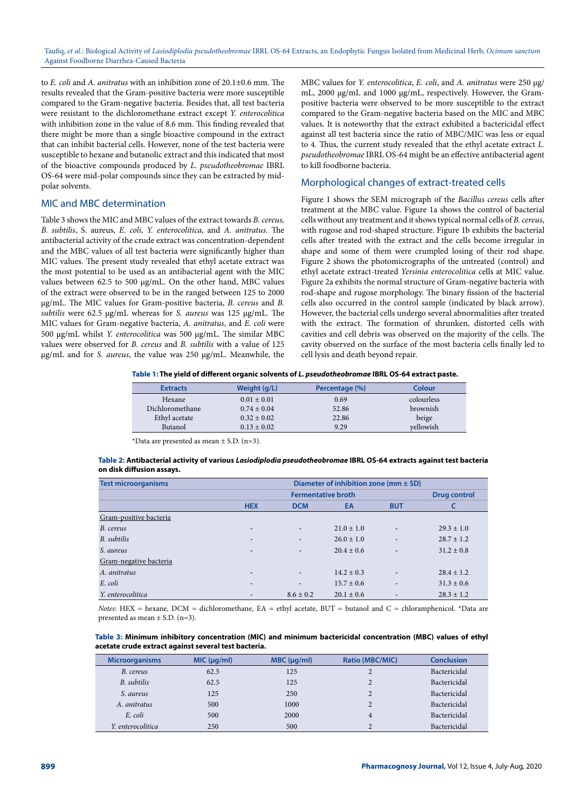to *E. coli* and *A. anitratus* with an inhibition zone of 20.1±0.6 mm. The results revealed that the Gram-positive bacteria were more susceptible compared to the Gram-negative bacteria. Besides that, all test bacteria were resistant to the dichloromethane extract except *Y. enterocolitica*  with inhibition zone in the value of 8.6 mm. This finding revealed that there might be more than a single bioactive compound in the extract that can inhibit bacterial cells. However, none of the test bacteria were susceptible to hexane and butanolic extract and this indicated that most of the bioactive compounds produced by *L. pseudotheobromae* IBRL OS-64 were mid-polar compounds since they can be extracted by midpolar solvents.

## MIC and MBC determination

Table 3 shows the MIC and MBC values of the extract towards *B. cereus, B. subtilis*, S. aureus, *E. coli*, *Y. enterocolitica*, and *A. anitratus*. The antibacterial activity of the crude extract was concentration-dependent and the MBC values of all test bacteria were significantly higher than MIC values. The present study revealed that ethyl acetate extract was the most potential to be used as an antibacterial agent with the MIC values between 62.5 to 500 µg/mL. On the other hand, MBC values of the extract were observed to be in the ranged between 125 to 2000 µg/mL. The MIC values for Gram-positive bacteria, *B. cereus* and *B. subtilis* were 62.5 µg/mL whereas for *S. aureus* was 125 µg/mL. The MIC values for Gram-negative bacteria, *A. anitratus*, and *E. coli* were 500 µg/mL whilst *Y. enterocolitica* was 500 µg/mL. The similar MBC values were observed for *B. cereus* and *B. subtilis* with a value of 125 µg/mL and for *S. aureus*, the value was 250 µg/mL. Meanwhile, the

MBC values for *Y. enterocolitica*, *E. coli*, and *A. anitratus* were 250 µg/ mL, 2000 µg/mL and 1000 µg/mL, respectively. However, the Grampositive bacteria were observed to be more susceptible to the extract compared to the Gram-negative bacteria based on the MIC and MBC values. It is noteworthy that the extract exhibited a bactericidal effect against all test bacteria since the ratio of MBC/MIC was less or equal to 4. Thus, the current study revealed that the ethyl acetate extract *L. pseudotheobromae* IBRL OS-64 might be an effective antibacterial agent to kill foodborne bacteria.

#### Morphological changes of extract-treated cells

Figure 1 shows the SEM micrograph of the *Bacillus cereus* cells after treatment at the MBC value. Figure 1a shows the control of bacterial cells without any treatment and it shows typical normal cells of *B. cereus*, with rugose and rod-shaped structure. Figure 1b exhibits the bacterial cells after treated with the extract and the cells become irregular in shape and some of them were crumpled losing of their rod shape. Figure 2 shows the photomicrographs of the untreated (control) and ethyl acetate extract-treated *Yersinia enterocolitica* cells at MIC value. Figure 2a exhibits the normal structure of Gram-negative bacteria with rod-shape and rugose morphology. The binary fission of the bacterial cells also occurred in the control sample (indicated by black arrow). However, the bacterial cells undergo several abnormalities after treated with the extract. The formation of shrunken, distorted cells with cavities and cell debris was observed on the majority of the cells. The cavity observed on the surface of the most bacteria cells finally led to cell lysis and death beyond repair.

#### **Table 1: The yield of different organic solvents of** *L. pseudotheobromae* **IBRL OS-64 extract paste.**

| <b>Extracts</b> | Weight (g/L)    | Percentage (%) | Colour     |
|-----------------|-----------------|----------------|------------|
| Hexane          | $0.01 \pm 0.01$ | 0.69           | colourless |
| Dichloromethane | $0.74 \pm 0.04$ | 52.86          | brownish   |
| Ethyl acetate   | $0.32 \pm 0.02$ | 22.86          | beige      |
| Butanol         | $0.13 \pm 0.02$ | 9.29           | vellowish  |

\*Data are presented as mean  $\pm$  S.D. (n=3).

#### **Table 2: Antibacterial activity of various** *Lasiodiplodia pseudotheobromae* **IBRL OS-64 extracts against test bacteria on disk diffusion assays.**

| <b>Test microorganisms</b> | Diameter of inhibition zone (mm $\pm$ SD) |                          |                |                          |                     |
|----------------------------|-------------------------------------------|--------------------------|----------------|--------------------------|---------------------|
|                            | <b>Fermentative broth</b>                 |                          |                |                          | <b>Drug control</b> |
|                            | <b>HEX</b>                                | <b>DCM</b>               | EA             | <b>BUT</b>               |                     |
| Gram-positive bacteria     |                                           |                          |                |                          |                     |
| B. cereus                  | -                                         | -                        | $21.0 \pm 1.0$ | $\overline{\phantom{a}}$ | $29.3 \pm 1.0$      |
| B. subtilis                | ٠                                         | $\overline{\phantom{a}}$ | $26.0 \pm 1.0$ | $\overline{\phantom{a}}$ | $28.7 \pm 1.2$      |
| S. aureus                  | -                                         | ۰                        | $20.4 \pm 0.6$ | $\overline{\phantom{a}}$ | $31.2 \pm 0.8$      |
| Gram-negative bacteria     |                                           |                          |                |                          |                     |
| A. anitratus               | -                                         | -                        | $14.2 \pm 0.3$ | $\overline{\phantom{a}}$ | $28.4 \pm 1.2$      |
| E. coli                    | ٠                                         | ۰                        | $15.7 \pm 0.6$ | $\overline{\phantom{a}}$ | $31.3 \pm 0.6$      |
| Y. enterocolitica          | -                                         | $8.6 \pm 0.2$            | $20.1 \pm 0.6$ | $\overline{\phantom{a}}$ | $28.3 \pm 1.2$      |

*Notes*: HEX = hexane, DCM = dichloromethane, EA = ethyl acetate, BUT = butanol and C = chloramphenicol. \*Data are presented as mean  $\pm$  S.D. (n=3).

| Table 3: Minimum inhibitory concentration (MIC) and minimum bactericidal concentration (MBC) values of ethyl |  |
|--------------------------------------------------------------------------------------------------------------|--|
| acetate crude extract against several test bacteria.                                                         |  |

| <b>Microorganisms</b> | MIC (µq/ml) | MBC (µq/ml) | Ratio (MBC/MIC) | <b>Conclusion</b> |
|-----------------------|-------------|-------------|-----------------|-------------------|
| B. cereus             | 62.5        | 125         |                 | Bactericidal      |
| B. subtilis           | 62.5        | 125         |                 | Bactericidal      |
| S. aureus             | 125         | 250         |                 | Bactericidal      |
| A. anitratus          | 500         | 1000        |                 | Bactericidal      |
| E. coli               | 500         | 2000        | $\overline{4}$  | Bactericidal      |
| Y. enterocolitica     | 250         | 500         |                 | Bactericidal      |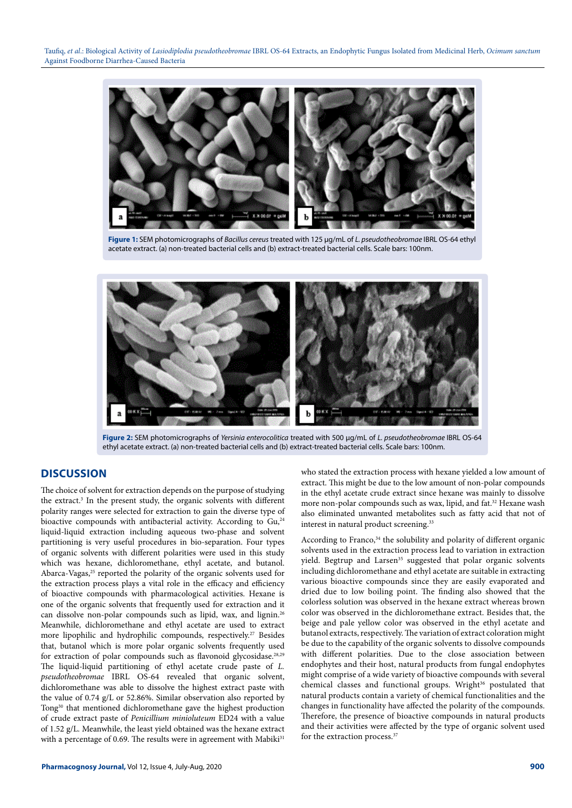

**Figure 1:** SEM photomicrographs of *Bacillus cereus* treated with 125 µg/mL of *L. pseudotheobromae* IBRL OS-64 ethyl acetate extract. (a) non-treated bacterial cells and (b) extract-treated bacterial cells. Scale bars: 100nm.



**Figure 2:** SEM photomicrographs of *Yersinia enterocolitica* treated with 500 µg/mL of *L. pseudotheobromae* IBRL OS-64 ethyl acetate extract. (a) non-treated bacterial cells and (b) extract-treated bacterial cells. Scale bars: 100nm.

# **DISCUSSION**

The choice of solvent for extraction depends on the purpose of studying the extract.<sup>3</sup> In the present study, the organic solvents with different polarity ranges were selected for extraction to gain the diverse type of bioactive compounds with antibacterial activity. According to Gu,<sup>24</sup> liquid-liquid extraction including aqueous two-phase and solvent partitioning is very useful procedures in bio-separation. Four types of organic solvents with different polarities were used in this study which was hexane, dichloromethane, ethyl acetate, and butanol. Abarca-Vagas,<sup>25</sup> reported the polarity of the organic solvents used for the extraction process plays a vital role in the efficacy and efficiency of bioactive compounds with pharmacological activities. Hexane is one of the organic solvents that frequently used for extraction and it can dissolve non-polar compounds such as lipid, wax, and lignin.26 Meanwhile, dichloromethane and ethyl acetate are used to extract more lipophilic and hydrophilic compounds, respectively.<sup>27</sup> Besides that, butanol which is more polar organic solvents frequently used for extraction of polar compounds such as flavonoid glycosidase.28,29 The liquid-liquid partitioning of ethyl acetate crude paste of *L. pseudotheobromae* IBRL OS-64 revealed that organic solvent, dichloromethane was able to dissolve the highest extract paste with the value of 0.74 g/L or 52.86%. Similar observation also reported by Tong30 that mentioned dichloromethane gave the highest production of crude extract paste of *Penicillium minioluteum* ED24 with a value of 1.52 g/L. Meanwhile, the least yield obtained was the hexane extract with a percentage of 0.69. The results were in agreement with Mabiki<sup>31</sup>

who stated the extraction process with hexane yielded a low amount of extract. This might be due to the low amount of non-polar compounds in the ethyl acetate crude extract since hexane was mainly to dissolve more non-polar compounds such as wax, lipid, and fat.<sup>32</sup> Hexane wash also eliminated unwanted metabolites such as fatty acid that not of interest in natural product screening.<sup>33</sup>

According to Franco,<sup>34</sup> the solubility and polarity of different organic solvents used in the extraction process lead to variation in extraction yield. Begtrup and Larsen<sup>35</sup> suggested that polar organic solvents including dichloromethane and ethyl acetate are suitable in extracting various bioactive compounds since they are easily evaporated and dried due to low boiling point. The finding also showed that the colorless solution was observed in the hexane extract whereas brown color was observed in the dichloromethane extract. Besides that, the beige and pale yellow color was observed in the ethyl acetate and butanol extracts, respectively. The variation of extract coloration might be due to the capability of the organic solvents to dissolve compounds with different polarities. Due to the close association between endophytes and their host, natural products from fungal endophytes might comprise of a wide variety of bioactive compounds with several chemical classes and functional groups. Wright<sup>36</sup> postulated that natural products contain a variety of chemical functionalities and the changes in functionality have affected the polarity of the compounds. Therefore, the presence of bioactive compounds in natural products and their activities were affected by the type of organic solvent used for the extraction process.37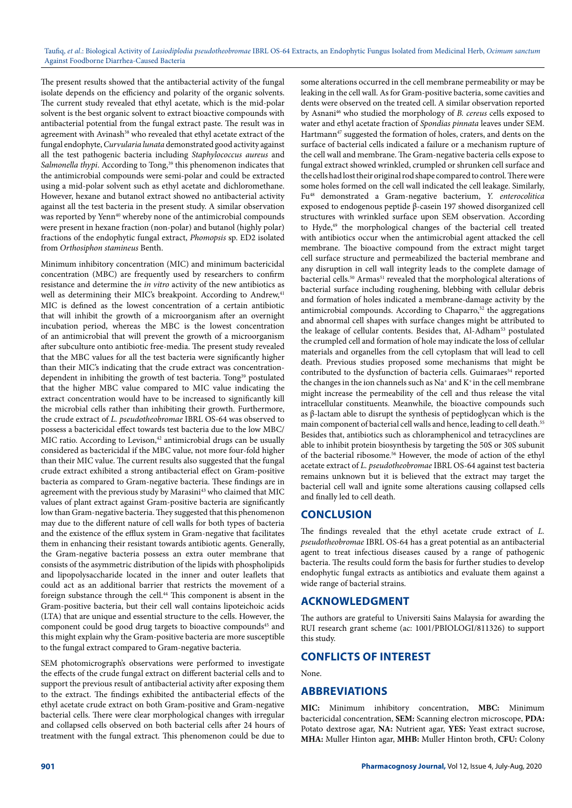The present results showed that the antibacterial activity of the fungal isolate depends on the efficiency and polarity of the organic solvents. The current study revealed that ethyl acetate, which is the mid-polar solvent is the best organic solvent to extract bioactive compounds with antibacterial potential from the fungal extract paste. The result was in agreement with Avinash<sup>38</sup> who revealed that ethyl acetate extract of the fungal endophyte, *Curvularia lunata* demonstrated good activity against all the test pathogenic bacteria including *Staphylococcus aureus* and Salmonella thypi. According to Tong,<sup>39</sup> this phenomenon indicates that the antimicrobial compounds were semi-polar and could be extracted using a mid-polar solvent such as ethyl acetate and dichloromethane. However, hexane and butanol extract showed no antibacterial activity against all the test bacteria in the present study. A similar observation was reported by Yenn<sup>40</sup> whereby none of the antimicrobial compounds were present in hexane fraction (non-polar) and butanol (highly polar) fractions of the endophytic fungal extract, *Phomopsis* sp. ED2 isolated from *Orthosiphon stamineus* Benth.

Minimum inhibitory concentration (MIC) and minimum bactericidal concentration (MBC) are frequently used by researchers to confirm resistance and determine the *in vitro* activity of the new antibiotics as well as determining their MIC's breakpoint. According to Andrew,<sup>41</sup> MIC is defined as the lowest concentration of a certain antibiotic that will inhibit the growth of a microorganism after an overnight incubation period, whereas the MBC is the lowest concentration of an antimicrobial that will prevent the growth of a microorganism after subculture onto antibiotic free-media. The present study revealed that the MBC values for all the test bacteria were significantly higher than their MIC's indicating that the crude extract was concentrationdependent in inhibiting the growth of test bacteria. Tong<sup>39</sup> postulated that the higher MBC value compared to MIC value indicating the extract concentration would have to be increased to significantly kill the microbial cells rather than inhibiting their growth. Furthermore, the crude extract of *L. pseudotheobromae* IBRL OS-64 was observed to possess a bactericidal effect towards test bacteria due to the low MBC/ MIC ratio. According to Levison,<sup>42</sup> antimicrobial drugs can be usually considered as bactericidal if the MBC value, not more four-fold higher than their MIC value. The current results also suggested that the fungal crude extract exhibited a strong antibacterial effect on Gram-positive bacteria as compared to Gram-negative bacteria. These findings are in agreement with the previous study by Marasini<sup>43</sup> who claimed that MIC values of plant extract against Gram-positive bacteria are significantly low than Gram-negative bacteria. They suggested that this phenomenon may due to the different nature of cell walls for both types of bacteria and the existence of the efflux system in Gram-negative that facilitates them in enhancing their resistant towards antibiotic agents. Generally, the Gram-negative bacteria possess an extra outer membrane that consists of the asymmetric distribution of the lipids with phospholipids and lipopolysaccharide located in the inner and outer leaflets that could act as an additional barrier that restricts the movement of a foreign substance through the cell.44 This component is absent in the Gram-positive bacteria, but their cell wall contains lipoteichoic acids (LTA) that are unique and essential structure to the cells. However, the component could be good drug targets to bioactive compounds<sup>45</sup> and this might explain why the Gram-positive bacteria are more susceptible to the fungal extract compared to Gram-negative bacteria.

SEM photomicrograph's observations were performed to investigate the effects of the crude fungal extract on different bacterial cells and to support the previous result of antibacterial activity after exposing them to the extract. The findings exhibited the antibacterial effects of the ethyl acetate crude extract on both Gram-positive and Gram-negative bacterial cells. There were clear morphological changes with irregular and collapsed cells observed on both bacterial cells after 24 hours of treatment with the fungal extract. This phenomenon could be due to

some alterations occurred in the cell membrane permeability or may be leaking in the cell wall. As for Gram-positive bacteria, some cavities and dents were observed on the treated cell. A similar observation reported by Asnani46 who studied the morphology of *B. cereus* cells exposed to water and ethyl acetate fraction of *Spondias pinnata* leaves under SEM. Hartmann<sup>47</sup> suggested the formation of holes, craters, and dents on the surface of bacterial cells indicated a failure or a mechanism rupture of the cell wall and membrane. The Gram-negative bacteria cells expose to fungal extract showed wrinkled, crumpled or shrunken cell surface and the cells had lost their original rod shape compared to control. There were some holes formed on the cell wall indicated the cell leakage. Similarly, Fu48 demonstrated a Gram-negative bacterium, *Y. enterocolitica* exposed to endogenous peptide β-casein 197 showed disorganized cell structures with wrinkled surface upon SEM observation. According to Hyde,<sup>49</sup> the morphological changes of the bacterial cell treated with antibiotics occur when the antimicrobial agent attacked the cell membrane. The bioactive compound from the extract might target cell surface structure and permeabilized the bacterial membrane and any disruption in cell wall integrity leads to the complete damage of bacterial cells.<sup>50</sup> Armas<sup>51</sup> revealed that the morphological alterations of bacterial surface including roughening, blebbing with cellular debris and formation of holes indicated a membrane-damage activity by the antimicrobial compounds. According to Chaparro,<sup>52</sup> the aggregations and abnormal cell shapes with surface changes might be attributed to the leakage of cellular contents. Besides that, Al-Adham<sup>53</sup> postulated the crumpled cell and formation of hole may indicate the loss of cellular materials and organelles from the cell cytoplasm that will lead to cell death. Previous studies proposed some mechanisms that might be contributed to the dysfunction of bacteria cells. Guimaraes<sup>54</sup> reported the changes in the ion channels such as  $Na^+$  and  $K^+$  in the cell membrane might increase the permeability of the cell and thus release the vital intracellular constituents. Meanwhile, the bioactive compounds such as β-lactam able to disrupt the synthesis of peptidoglycan which is the main component of bacterial cell walls and hence, leading to cell death.<sup>55</sup> Besides that, antibiotics such as chloramphenicol and tetracyclines are able to inhibit protein biosynthesis by targeting the 50S or 30S subunit of the bacterial ribosome.56 However, the mode of action of the ethyl acetate extract of *L. pseudotheobromae* IBRL OS-64 against test bacteria remains unknown but it is believed that the extract may target the bacterial cell wall and ignite some alterations causing collapsed cells and finally led to cell death.

# **CONCLUSION**

The findings revealed that the ethyl acetate crude extract of *L. pseudotheobromae* IBRL OS-64 has a great potential as an antibacterial agent to treat infectious diseases caused by a range of pathogenic bacteria. The results could form the basis for further studies to develop endophytic fungal extracts as antibiotics and evaluate them against a wide range of bacterial strains.

# **ACKNOWLEDGMENT**

The authors are grateful to Universiti Sains Malaysia for awarding the RUI research grant scheme (ac: 1001/PBIOLOGI/811326) to support this study.

# **CONFLICTS OF INTEREST**

None.

# **ABBREVIATIONS**

**MIC:** Minimum inhibitory concentration, **MBC:** Minimum bactericidal concentration, **SEM:** Scanning electron microscope, **PDA:**  Potato dextrose agar, **NA:** Nutrient agar, **YES:** Yeast extract sucrose, **MHA:** Muller Hinton agar, **MHB:** Muller Hinton broth, **CFU:** Colony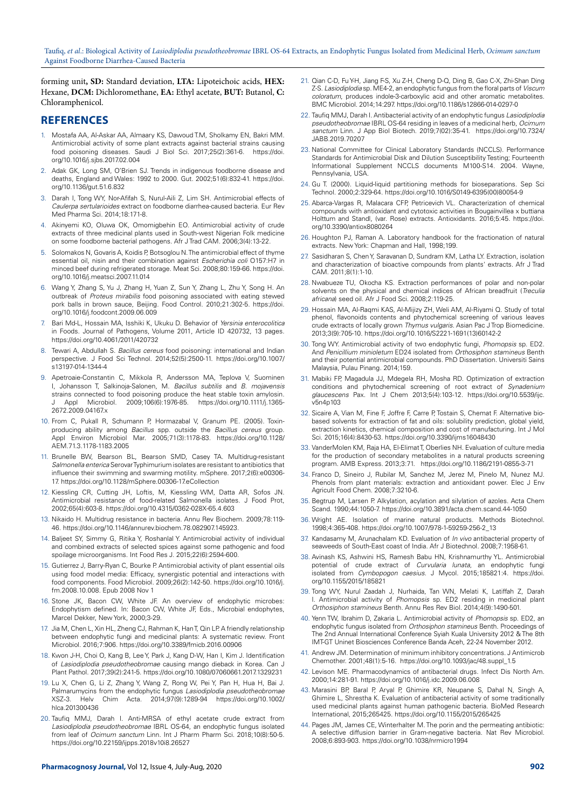forming unit**, SD:** Standard deviation, **LTA:** Lipoteichoic acids, **HEX:** Hexane, **DCM:** Dichloromethane, **EA:** Ethyl acetate, **BUT:** Butanol, **C:** Chloramphenicol.

## **REFERENCES**

- 1. Mostafa AA, Al-Askar AA, Almaary KS, Dawoud T.M, Sholkamy EN, Bakri MM. Antimicrobial activity of some plant extracts against bacterial strains causing food poisoning diseases. Saudi J Biol Sci. 2017;25(2):361-6. [https://doi.](https://doi.org/10.1016/j.sjbs.2017.02.004) [org/10.1016/j.sjbs.2017.02.004](https://doi.org/10.1016/j.sjbs.2017.02.004)
- 2. Adak GK, Long SM, O'Brien SJ. Trends in indigenous foodborne disease and deaths, England and Wales: 1992 to 2000. Gut. 2002;51(6):832-41. [https://doi.](https://doi.org/10.1136/gut.51.6.832) [org/10.1136/gut.51.6.832](https://doi.org/10.1136/gut.51.6.832)
- 3. Darah I, Tong WY, Nor-Afifah S, Nurul-Aili Z, Lim SH. Antimicrobial effects of *Caulerpa sertularioides* extract on foodborne diarrhea-caused bacteria. Eur Rev Med Pharma Sci. 2014;18:171-8.
- 4. Akinyemi KO, Oluwa OK, Omomigbehin EO. Antimicrobial activity of crude extracts of three medicinal plants used in South-west Nigerian Folk medicine on some foodborne bacterial pathogens. Afr J Trad CAM. 2006;3(4):13-22.
- 5. Solomakos N, Govaris A, Koidis P, Botsoglou N. The antimicrobial effect of thyme essential oil, nisin and their combination against *Escherichia coli* O157:H7 in minced beef during refrigerated storage. Meat Sci. 2008;80:159-66. [https://doi.](https://doi.org/10.1016/j.meatsci.2007.11.014) [org/10.1016/j.meatsci.2007.11.014](https://doi.org/10.1016/j.meatsci.2007.11.014)
- 6. Wang Y, Zhang S, Yu J, Zhang H, Yuan Z, Sun Y, Zhang L, Zhu Y, Song H. An outbreak of *Proteus mirabilis* food poisoning associated with eating stewed pork balls in brown sauce, Beijing. Food Control. 2010;21:302-5. [https://doi.](https://doi.org/10.1016/j.foodcont.2009.06.009) [org/10.1016/j.foodcont.2009.06.009](https://doi.org/10.1016/j.foodcont.2009.06.009)
- 7. Bari Md-L, Hossain MA, Isshiki K, Ukuku D. Behavior of *Yersinia enterocolitica* in Foods. Journal of Pathogens, Volume 2011, Article ID 420732, 13 pages. <https://doi.org/10.4061/2011/420732>
- 8. Tewari A, Abdullah S. *Bacillus cereus* food poisoning: international and Indian perspective. J Food Sci Technol. 2014;52(5):2500-11. [https://doi.org/10.1007/](https://doi.org/10.1007/s13197-014-1344-4) [s13197-014-1344-4](https://doi.org/10.1007/s13197-014-1344-4)
- 9. Apetroaie-Constantin C, Mikkola R, Andersson MA, Teplova V, Suominen I, Johansson T, Salkinoja-Salonen, M. *Bacillus subtilis* and *B. mojavensis* strains connected to food poisoning produce the heat stable toxin amylosin. J Appl Microbiol. 2009;106(6):1976-85. [https://doi.org/10.1111/j.1365-](https://doi.org/10.1111/j.1365-2672.2009.04167.x) 2672.2009.04167x
- 10. From C, Pukall R, Schumann P, Hormazabal V, Granum PE. (2005). Toxinproducing ability among *Bacillus* spp. outside the *Bacillus cereus* group. Appl Environ Microbiol Mar. 2005;71(3):1178-83. [https://doi.org/10.1128/](https://doi.org/10.1128/AEM.71.3.1178-1183.2005) [AEM.71.3.1178-1183.2005](https://doi.org/10.1128/AEM.71.3.1178-1183.2005)
- 11. Brunelle BW, Bearson BL, Bearson SMD, Casey TA. Multidrug-resistant *Salmonella enterica* Serovar Typhimurium isolates are resistant to antibiotics that influence their swimming and swarming motility. mSphere. 2017;2(6):e00306- 17. <https://doi.org/10.1128/mSphere.00306-17.eCollection>
- 12. Kiessling CR, Cutting JH, Loftis, M, Kiessling WM, Datta AR, Sofos JN. Antimicrobial resistance of food-related Salmonella isolates. J Food Prot, 2002;65(4):603-8.<https://doi.org/10.4315/0362-028X-65.4.603>
- 13. Nikaido H. Multidrug resistance in bacteria. Annu Rev Biochem. 2009;78:119- 46. <https://doi.org/10.1146/annurev.biochem.78.082907.145923>.
- 14. Baljeet SY, Simmy G, Ritika Y, Roshanlal Y. Antimicrobial activity of individual and combined extracts of selected spices against some pathogenic and food spoilage microorganisms. Int Food Res J. 2015;22(6):2594-600.
- 15. Gutierrez J, Barry-Ryan C, Bourke P. Antimicrobial activity of plant essential oils using food model media: Efficacy, synergistic potential and interactions with food components. Food Microbiol. 2009;26(2):142-50. [https://doi.org/10.1016/j.](https://doi.org/10.1016/j.fm.2008.10.008. Epub 2008 Nov 1) [fm.2008.10.008. Epub 2008 Nov 1](https://doi.org/10.1016/j.fm.2008.10.008. Epub 2008 Nov 1)
- 16. Stone JK, Bacon CW, White JF. An overview of endophytic microbes: Endophytism defined. In: Bacon CW, White JF, Eds., Microbial endophytes, Marcel Dekker, New York, 2000;3-29.
- 17. Jia M, Chen L, Xin HL, Zheng CJ, Rahman K, Han T, Qin LP. A friendly relationship between endophytic fungi and medicinal plants: A systematic review. Front Microbiol. 2016;7:906. <https://doi.org/10.3389/fmicb.2016.00906>
- 18. Kwon J-H, Choi O, Kang B, Lee Y, Park J, Kang D-W, Han I, Kim J. Identification of *Lasiodiplodia pseudotheobromae* causing mango dieback in Korea. Can J Plant Pathol. 2017;39(2):241-5.<https://doi.org/10.1080/07060661.2017.1329231>
- 19. Lu X, Chen G, Li Z, Zhang Y, Wang Z, Rong W, Pei Y, Pan H, Hua H, Bai J. Palmarumycins from the endophytic fungus *Lasiodiplodia pseudotheobromae* XSZ‐3. Helv Chim Acta. 2014;97(9):1289-94 [https://doi.org/10.1002/](https://doi.org/10.1002/hlca.201300436) [hlca.201300436](https://doi.org/10.1002/hlca.201300436)
- 20. Taufiq MMJ, Darah I. Anti-MRSA of ethyl acetate crude extract from *Lasiodiplodia pseudotheobromae* IBRL OS-64, an endophytic fungus isolated from leaf of *Ocimum sanctum* Linn. Int J Pharm Pharm Sci. 2018;10(8):50-5. <https://doi.org/10.22159/ijpps.2018v10i8.26527>
- 21. Qian C-D, Fu Y-H, Jiang F-S, Xu Z-H, Cheng D-Q, Ding B, Gao C-X, Zhi-Shan Ding Z-S. *Lasiodiplodia* sp. ME4-2, an endophytic fungus from the floral parts of *Viscum coloratum*, produces indole-3-carboxylic acid and other aromatic metabolites. BMC Microbiol. 2014;14:297.<https://doi.org/10.1186/s12866-014-0297-0>
- 22. Taufiq MMJ, Darah I. Antibacterial activity of an endophytic fungus *Lasiodiplodia pseudotheobromae* IBRL OS-64 residing in leaves of a medicinal herb, *Ocimum sanctum* Linn. J App Biol Biotech. 2019;7(02):35-41. [https://doi.org/10.7324/](https://doi.org/10.7324/JABB.2019.70207) [JABB.2019.70207](https://doi.org/10.7324/JABB.2019.70207)
- 23. National Committee for Clinical Laboratory Standards (NCCLS). Performance Standards for Antimicrobial Disk and Dilution Susceptibility Testing; Fourteenth Informational Supplement NCCLS documents M100-S14. 2004. Wayne, Pennsylvania, USA.
- 24. Gu T. (2000). Liquid-liquid partitioning methods for bioseparations. Sep Sci Technol. 2000;2:329-64. [https://doi.org/10.1016/S0149-6395\(00\)80054-9](https://doi.org/10.1016/S0149-6395(00)80054-9)
- 25. Abarca-Vargas R, Malacara CFP, Petricevich VL. Characterization of chemical compounds with antioxidant and cytotoxic activities in Bougainvillea x buttiana Holttum and Standl, (var. Rose) extracts. Antioxidants. 2016;5:45. [https://doi.](https://doi.org/10.3390/antiox8080264) [org/10.3390/antiox8080264](https://doi.org/10.3390/antiox8080264)
- 26. Houghton PJ, Raman A. Laboratory handbook for the fractionation of natural extracts. New York: Chapman and Hall, 1998;199.
- 27. Sasidharan S, Chen Y, Saravanan D, Sundram KM, Latha LY. Extraction, isolation and characterization of bioactive compounds from plants' extracts. Afr J Trad CAM. 2011;8(1):1-10.
- 28. Nwabueze TU, Okocha KS. Extraction performances of polar and non-polar solvents on the physical and chemical indices of African breadfruit (*Treculia africana*) seed oil. Afr J Food Sci. 2008;2:119-25.
- 29. Hossain MA, Al-Raqmi KAS, Al-Mijizy ZH, Weli AM, Al-Riyami Q. Study of total phenol, flavonoids contents and phytochemical screening of various leaves crude extracts of locally grown *Thymus vulgaris*. Asian Pac J Trop Biomedicine. 2013;3(9):705-10. [https://doi.org/10.1016/S2221-1691\(13\)60142-2](https://doi.org/10.1016/S2221-1691(13)60142-2)
- 30. Tong WY. Antimicrobial activity of two endophytic fungi, *Phomopsis* sp. ED2. And *Penicillium minioletum* ED24 isolated from *Orthosiphon stamineus* Benth and their potential antimicrobial compounds. PhD Dissertation. Universiti Sains Malaysia, Pulau Pinang. 2014;159.
- 31. Mabiki FP, Magadula JJ, Mdegela RH, Mosha RD. Optimization of extraction conditions and phytochemical screening of root extract of *Synadenium glaucescens* Pax. Int J Chem 2013;5(4):103-12. [https://doi.org/10.5539/ijc.](https://doi.org/10.5539/ijc.v5n4p103) [v5n4p103](https://doi.org/10.5539/ijc.v5n4p103)
- 32. Sicaire A, Vian M, Fine F, Joffre F, Carre P, Tostain S, Chemat F. Alternative biobased solvents for extraction of fat and oils: solubility prediction, global yield, extraction kinetics, chemical composition and cost of manufacturing. Int J Mol Sci. 2015;16(4):8430-53. <https://doi.org/10.3390/ijms16048430>
- 33. VanderMolen KM, Raja HA, El-Elimat T, Oberlies NH. Evaluation of culture media for the production of secondary metabolites in a natural products screening program. AMB Express. 2013;3:71. <https://doi.org/10.1186/2191-0855-3-71>
- 34. Franco D, Sineiro J, Rubilar M, Sanchez M, Jerez M, Pinelo M, Nunez MJ. Phenols from plant materials: extraction and antioxidant power. Elec J Env Agricult Food Chem. 2008;7:3210-6.
- 35. Begtrup M, Larsen P. Alkylation, acylation and silylation of azoles. Acta Chem Scand. 1990;44:1050-7. <https://doi.org/10.3891/acta.chem.scand.44-1050>
- 36. Wright AE. Isolation of marine natural products. Methods Biotechnol. 1998;4:365-408. [https://doi.org/10.1007/978-1-59259-256-2\\_13](https://doi.org/10.1007/978-1-59259-256-2_13)
- 37. Kandasamy M, Arunachalam KD. Evaluation of *In vivo* antibacterial property of seaweeds of South-East coast of India. Afr J Biotechnol. 2008;7:1958-61.
- 38. Avinash KS, Ashwini HS, Ramesh Babu HN, Krishnamurthy YL. Antimicrobial potential of crude extract of *Curvularia lunata*, an endophytic fungi isolated from *Cymbopogon caesius*. J Mycol. 2015;185821:4. [https://doi.](https://doi.org/10.1155/2015/185821) [org/10.1155/2015/185821](https://doi.org/10.1155/2015/185821)
- 39. Tong WY, Nurul Zaadah J, Nurhaida, Tan WN, Melati K, Latiffah Z, Darah I. Antimicrobial activity of *Phomopsis* sp. ED2 residing in medicinal plant *Orthosiphon stamineus* Benth. Annu Res Rev Biol. 2014;4(9):1490-501.
- 40. Yenn TW, Ibrahim D, Zakaria L. Antimicrobial activity of *Phomopsis* sp. ED2, an endophytic fungus isolated from *Orthosiphon stamineus* Benth. Proceedings of The 2nd Annual International Conference Syiah Kuala University 2012 & The 8th IMT-GT Uninet Biosciences Conference Banda Aceh, 22-24 November 2012.
- 41. Andrew JM. Determination of minimum inhibitory concentrations. J Antimicrob Chemother. 2001;48(1):5-16. [https://doi.org/10.1093/jac/48.suppl\\_1.5](https://doi.org/10.1093/jac/48.suppl_1.5)
- 42. Levison ME. Pharmacodynamics of antibacterial drugs. Infect Dis North Am. 2000;14:281-91. <https://doi.org/10.1016/j.idc.2009.06.008>
- 43. Marasini BP, Baral P, Aryal P, Ghimire KR, Neupane S, Dahal N, Singh A, Ghimire L, Shrestha K. Evaluation of antibacterial activity of some traditionally used medicinal plants against human pathogenic bacteria. BioMed Research International, 2015;265425. <https://doi.org/10.1155/2015/265425>
- 44. Pages JM, James CE, Winterhalter M. The porin and the permeating antibiotic: A selective diffusion barrier in Gram-negative bacteria. Nat Rev Microbiol. 2008;6:893-903.<https://doi.org/10.1038/nrmicro1994>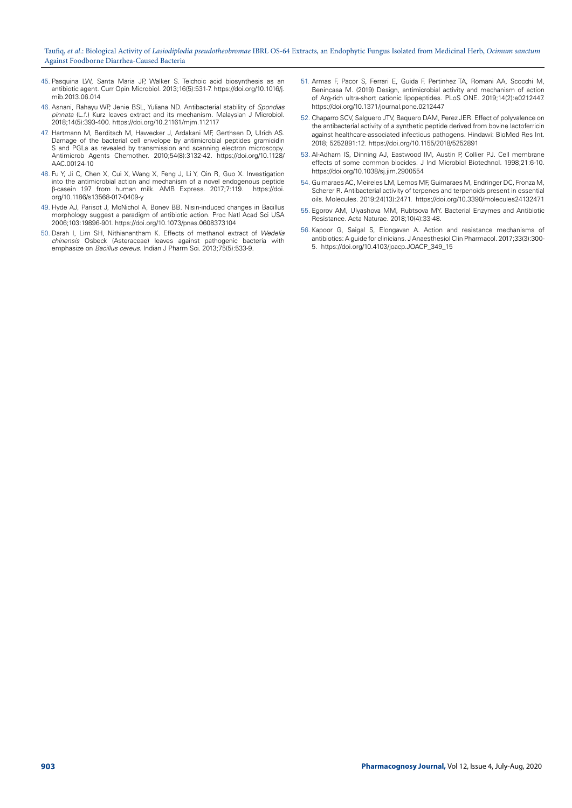- 45. Pasquina LW, Santa Maria JP, Walker S. Teichoic acid biosynthesis as an antibiotic agent. Curr Opin Microbiol. 2013;16(5):531-7. [https://doi.org/10.1016/j.](https://doi.org/10.1016/j.mib.2013.06.014) [mib.2013.06.014](https://doi.org/10.1016/j.mib.2013.06.014)
- 46. Asnani, Rahayu WP, Jenie BSL, Yuliana ND. Antibacterial stability of *Spondias pinnata* (L.f.) Kurz leaves extract and its mechanism. Malaysian J Microbiol. 2018;14(5):393-400.<https://doi.org/10.21161/mjm.112117>
- 47. Hartmann M, Berditsch M, Hawecker J, Ardakani MF, Gerthsen D, Ulrich AS. Damage of the bacterial cell envelope by antimicrobial peptides gramicidin S and PGLa as revealed by transmission and scanning electron microscopy. Antimicrob Agents Chemother. 2010;54(8):3132-42. [https://doi.org/10.1128/](https://doi.org/10.1128/AAC.00124-10) [AAC.00124-10](https://doi.org/10.1128/AAC.00124-10)
- 48. Fu Y, Ji C, Chen X, Cui X, Wang X, Feng J, Li Y, Qin R, Guo X. Investigation into the antimicrobial action and mechanism of a novel endogenous peptide β-casein 197 from human milk. AMB Express. 2017;7:119. [https://doi.](https://doi.org/10.1186/s13568-017-0409-y) [org/10.1186/s13568-017-0409-y](https://doi.org/10.1186/s13568-017-0409-y)
- 49. Hyde AJ, Parisot J, McNichol A, Bonev BB. Nisin-induced changes in Bacillus morphology suggest a paradigm of antibiotic action. Proc Natl Acad Sci USA 2006;103:19896-901. <https://doi.org/10.1073/pnas.0608373104>
- 50. Darah I, Lim SH, Nithianantham K. Effects of methanol extract of *Wedelia chinensis* Osbeck (Asteraceae) leaves against pathogenic bacteria with emphasize on *Bacillus cereus*. Indian J Pharm Sci. 2013;75(5):533-9.
- 51. Armas F, Pacor S, Ferrari E, Guida F, Pertinhez TA, Romani AA, Scocchi M, Benincasa M. (2019) Design, antimicrobial activity and mechanism of action of Arg-rich ultra-short cationic lipopeptides. PLoS ONE. 2019;14(2):e0212447. <https://doi.org/10.1371/journal.pone.0212447>
- 52. Chaparro SCV, Salguero JTV, Baquero DAM, Perez JER. Effect of polyvalence on the antibacterial activity of a synthetic peptide derived from bovine lactoferricin against healthcare-associated infectious pathogens. Hindawi: BioMed Res Int. 2018; 5252891:12. <https://doi.org/10.1155/2018/5252891>
- 53. Al-Adham IS, Dinning AJ, Eastwood IM, Austin P, Collier PJ. Cell membrane effects of some common biocides. J Ind Microbiol Biotechnol. 1998;21:6-10. <https://doi.org/10.1038/sj.jim.2900554>
- 54. Guimaraes AC, Meireles LM, Lemos MF, Guimaraes M, Endringer DC, Fronza M, Scherer R. Antibacterial activity of terpenes and terpenoids present in essential oils. Molecules. 2019;24(13):2471. <https://doi.org/10.3390/molecules24132471>
- 55. Egorov AM, Ulyashova MM, Rubtsova MY. Bacterial Enzymes and Antibiotic Resistance. Acta Naturae. 2018;10(4):33-48.
- 56. Kapoor G, Saigal S, Elongavan A. Action and resistance mechanisms of antibiotics: A guide for clinicians. J Anaesthesiol Clin Pharmacol. 2017;33(3):300- 5. [https://doi.org/10.4103/joacp.JOACP\\_349\\_15](https://doi.org/10.4103/joacp.JOACP_349_15)